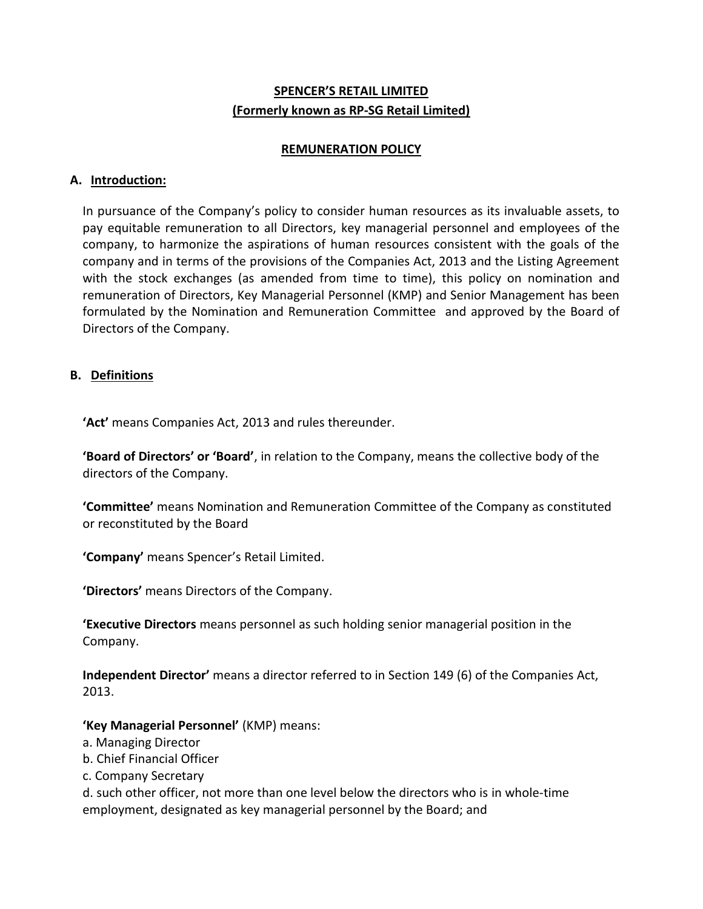# **SPENCER'S RETAIL LIMITED (Formerly known as RP-SG Retail Limited)**

#### **REMUNERATION POLICY**

# **A. Introduction:**

In pursuance of the Company's policy to consider human resources as its invaluable assets, to pay equitable remuneration to all Directors, key managerial personnel and employees of the company, to harmonize the aspirations of human resources consistent with the goals of the company and in terms of the provisions of the Companies Act, 2013 and the Listing Agreement with the stock exchanges (as amended from time to time), this policy on nomination and remuneration of Directors, Key Managerial Personnel (KMP) and Senior Management has been formulated by the Nomination and Remuneration Committee and approved by the Board of Directors of the Company.

# **B. Definitions**

**'Act'** means Companies Act, 2013 and rules thereunder.

**'Board of Directors' or 'Board'**, in relation to the Company, means the collective body of the directors of the Company.

**'Committee'** means Nomination and Remuneration Committee of the Company as constituted or reconstituted by the Board

**'Company'** means Spencer's Retail Limited.

**'Directors'** means Directors of the Company.

**'Executive Directors** means personnel as such holding senior managerial position in the Company.

**Independent Director'** means a director referred to in Section 149 (6) of the Companies Act, 2013.

# **'Key Managerial Personnel'** (KMP) means:

- a. Managing Director
- b. Chief Financial Officer
- c. Company Secretary

d. such other officer, not more than one level below the directors who is in whole-time employment, designated as key managerial personnel by the Board; and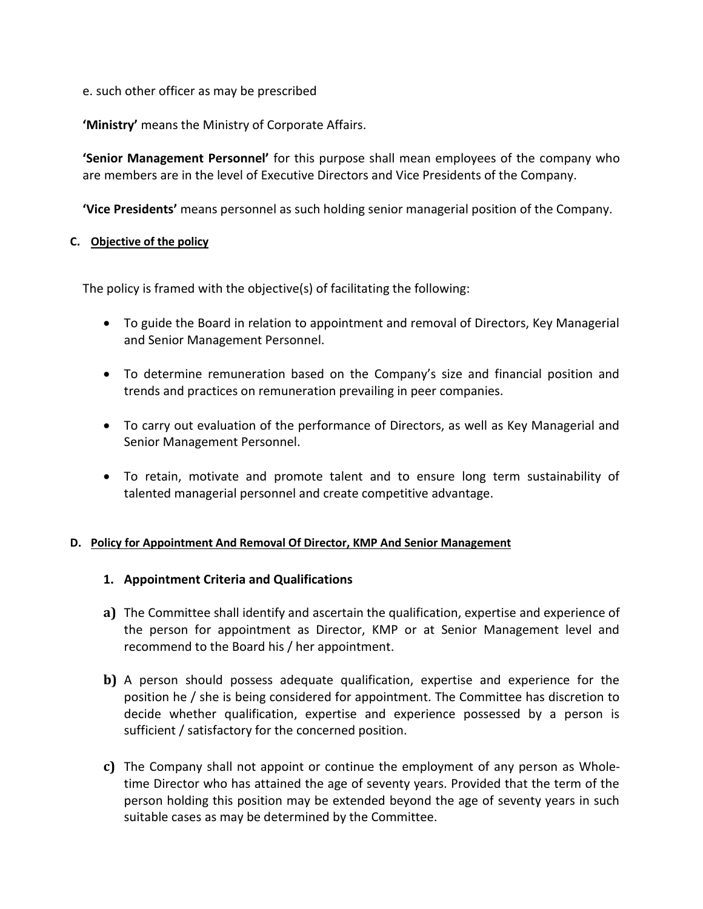# e. such other officer as may be prescribed

**'Ministry'** means the Ministry of Corporate Affairs.

**'Senior Management Personnel'** for this purpose shall mean employees of the company who are members are in the level of Executive Directors and Vice Presidents of the Company.

**'Vice Presidents'** means personnel as such holding senior managerial position of the Company.

#### **C. Objective of the policy**

The policy is framed with the objective(s) of facilitating the following:

- To guide the Board in relation to appointment and removal of Directors, Key Managerial and Senior Management Personnel.
- To determine remuneration based on the Company's size and financial position and trends and practices on remuneration prevailing in peer companies.
- To carry out evaluation of the performance of Directors, as well as Key Managerial and Senior Management Personnel.
- To retain, motivate and promote talent and to ensure long term sustainability of talented managerial personnel and create competitive advantage.

# **D. Policy for Appointment And Removal Of Director, KMP And Senior Management**

# **1. Appointment Criteria and Qualifications**

- **a)** The Committee shall identify and ascertain the qualification, expertise and experience of the person for appointment as Director, KMP or at Senior Management level and recommend to the Board his / her appointment.
- **b)** A person should possess adequate qualification, expertise and experience for the position he / she is being considered for appointment. The Committee has discretion to decide whether qualification, expertise and experience possessed by a person is sufficient / satisfactory for the concerned position.
- **c)** The Company shall not appoint or continue the employment of any person as Wholetime Director who has attained the age of seventy years. Provided that the term of the person holding this position may be extended beyond the age of seventy years in such suitable cases as may be determined by the Committee.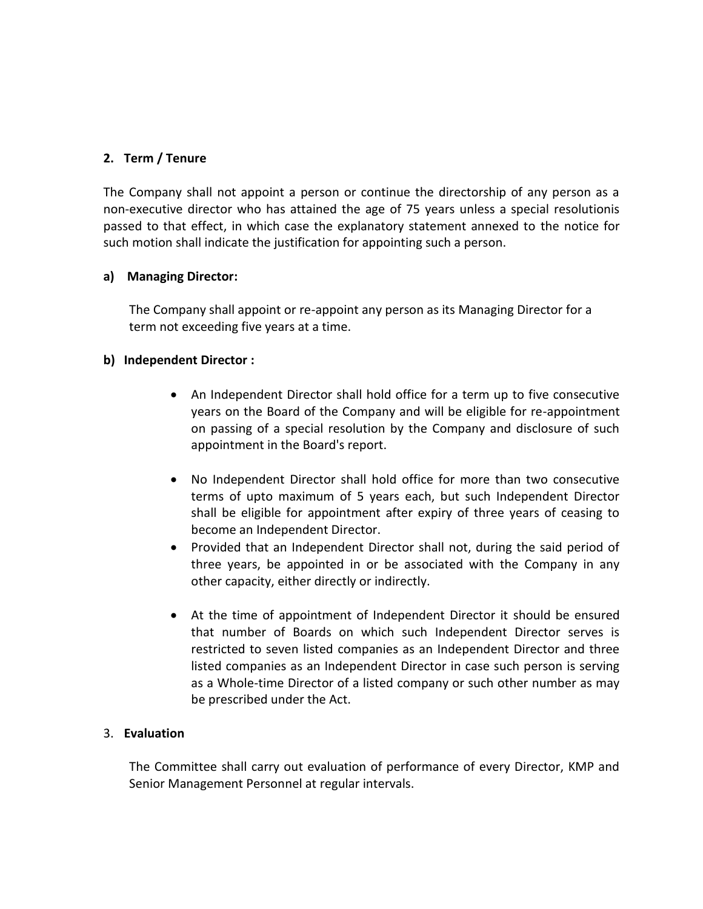# **2. Term / Tenure**

The Company shall not appoint a person or continue the directorship of any person as a non-executive director who has attained the age of 75 years unless a special resolutionis passed to that effect, in which case the explanatory statement annexed to the notice for such motion shall indicate the justification for appointing such a person.

# **a) Managing Director:**

The Company shall appoint or re-appoint any person as its Managing Director for a term not exceeding five years at a time.

# **b) Independent Director :**

- An Independent Director shall hold office for a term up to five consecutive years on the Board of the Company and will be eligible for re-appointment on passing of a special resolution by the Company and disclosure of such appointment in the Board's report.
- No Independent Director shall hold office for more than two consecutive terms of upto maximum of 5 years each, but such Independent Director shall be eligible for appointment after expiry of three years of ceasing to become an Independent Director.
- Provided that an Independent Director shall not, during the said period of three years, be appointed in or be associated with the Company in any other capacity, either directly or indirectly.
- At the time of appointment of Independent Director it should be ensured that number of Boards on which such Independent Director serves is restricted to seven listed companies as an Independent Director and three listed companies as an Independent Director in case such person is serving as a Whole-time Director of a listed company or such other number as may be prescribed under the Act.

# 3. **Evaluation**

The Committee shall carry out evaluation of performance of every Director, KMP and Senior Management Personnel at regular intervals.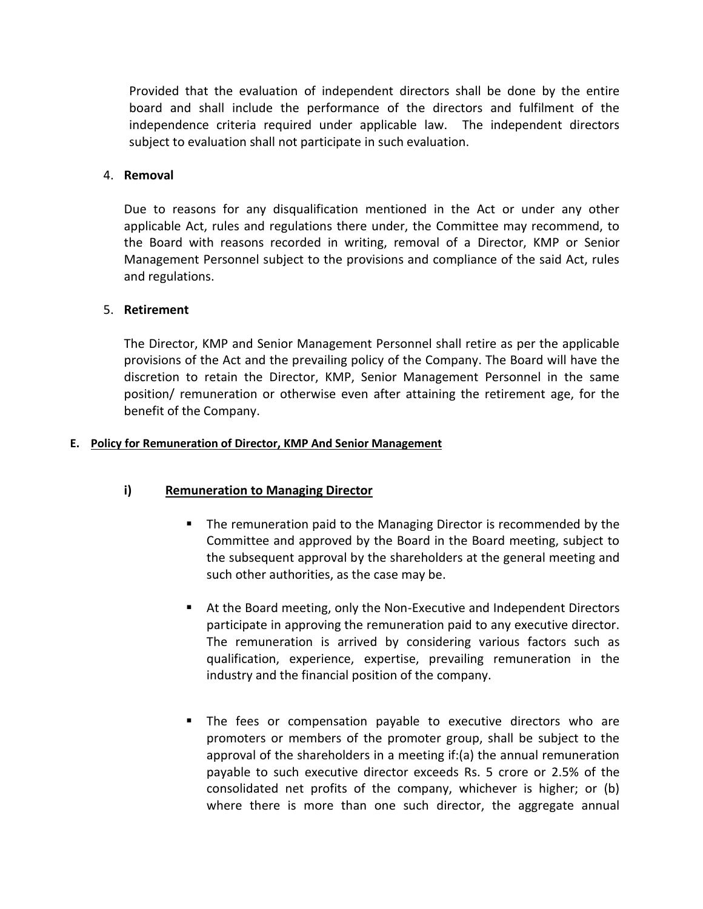Provided that the evaluation of independent directors shall be done by the entire board and shall include the performance of the directors and fulfilment of the independence criteria required under applicable law. The independent directors subject to evaluation shall not participate in such evaluation.

#### 4. **Removal**

Due to reasons for any disqualification mentioned in the Act or under any other applicable Act, rules and regulations there under, the Committee may recommend, to the Board with reasons recorded in writing, removal of a Director, KMP or Senior Management Personnel subject to the provisions and compliance of the said Act, rules and regulations.

#### 5. **Retirement**

The Director, KMP and Senior Management Personnel shall retire as per the applicable provisions of the Act and the prevailing policy of the Company. The Board will have the discretion to retain the Director, KMP, Senior Management Personnel in the same position/ remuneration or otherwise even after attaining the retirement age, for the benefit of the Company.

#### **E. Policy for Remuneration of Director, KMP And Senior Management**

# **i) Remuneration to Managing Director**

- **The remuneration paid to the Managing Director is recommended by the** Committee and approved by the Board in the Board meeting, subject to the subsequent approval by the shareholders at the general meeting and such other authorities, as the case may be.
- At the Board meeting, only the Non-Executive and Independent Directors participate in approving the remuneration paid to any executive director. The remuneration is arrived by considering various factors such as qualification, experience, expertise, prevailing remuneration in the industry and the financial position of the company.
- The fees or compensation payable to executive directors who are promoters or members of the promoter group, shall be subject to the approval of the shareholders in a meeting if:(a) the annual remuneration payable to such executive director exceeds Rs. 5 crore or 2.5% of the consolidated net profits of the company, whichever is higher; or (b) where there is more than one such director, the aggregate annual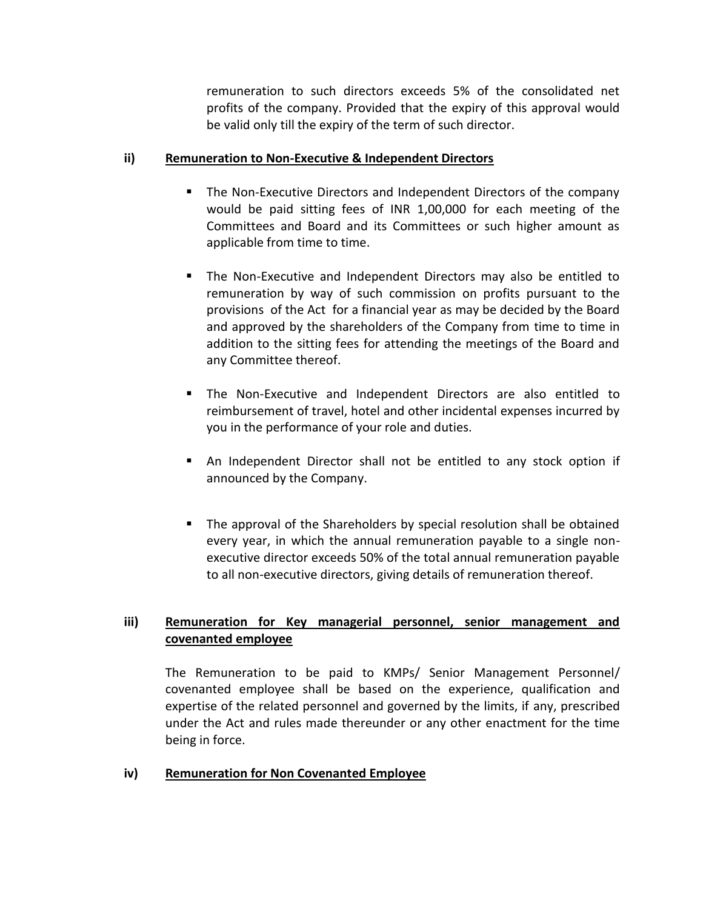remuneration to such directors exceeds 5% of the consolidated net profits of the company. Provided that the expiry of this approval would be valid only till the expiry of the term of such director.

# **ii) Remuneration to Non-Executive & Independent Directors**

- The Non-Executive Directors and Independent Directors of the company would be paid sitting fees of INR 1,00,000 for each meeting of the Committees and Board and its Committees or such higher amount as applicable from time to time.
- The Non-Executive and Independent Directors may also be entitled to remuneration by way of such commission on profits pursuant to the provisions of the Act for a financial year as may be decided by the Board and approved by the shareholders of the Company from time to time in addition to the sitting fees for attending the meetings of the Board and any Committee thereof.
- The Non-Executive and Independent Directors are also entitled to reimbursement of travel, hotel and other incidental expenses incurred by you in the performance of your role and duties.
- An Independent Director shall not be entitled to any stock option if announced by the Company.
- The approval of the Shareholders by special resolution shall be obtained every year, in which the annual remuneration payable to a single nonexecutive director exceeds 50% of the total annual remuneration payable to all non-executive directors, giving details of remuneration thereof.

# **iii) Remuneration for Key managerial personnel, senior management and covenanted employee**

The Remuneration to be paid to KMPs/ Senior Management Personnel/ covenanted employee shall be based on the experience, qualification and expertise of the related personnel and governed by the limits, if any, prescribed under the Act and rules made thereunder or any other enactment for the time being in force.

# **iv) Remuneration for Non Covenanted Employee**